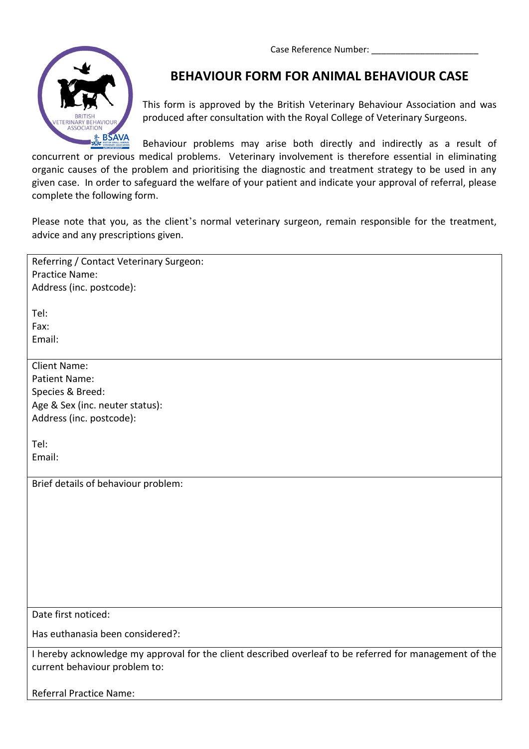Case Reference Number:



## **BEHAVIOUR FORM FOR ANIMAL BEHAVIOUR CASE**

This form is approved by the British Veterinary Behaviour Association and was produced after consultation with the Royal College of Veterinary Surgeons.

Behaviour problems may arise both directly and indirectly as a result of concurrent or previous medical problems. Veterinary involvement is therefore essential in eliminating organic causes of the problem and prioritising the diagnostic and treatment strategy to be used in any given case. In order to safeguard the welfare of your patient and indicate your approval of referral, please complete the following form.

Please note that you, as the client's normal veterinary surgeon, remain responsible for the treatment, advice and any prescriptions given.

| Referring / Contact Veterinary Surgeon:                                                                 |
|---------------------------------------------------------------------------------------------------------|
| Practice Name:                                                                                          |
| Address (inc. postcode):                                                                                |
|                                                                                                         |
| Tel:                                                                                                    |
| Fax:                                                                                                    |
| Email:                                                                                                  |
|                                                                                                         |
| <b>Client Name:</b>                                                                                     |
| <b>Patient Name:</b>                                                                                    |
| Species & Breed:                                                                                        |
| Age & Sex (inc. neuter status):                                                                         |
| Address (inc. postcode):                                                                                |
|                                                                                                         |
| Tel:                                                                                                    |
| Email:                                                                                                  |
|                                                                                                         |
| Brief details of behaviour problem:                                                                     |
|                                                                                                         |
|                                                                                                         |
|                                                                                                         |
|                                                                                                         |
|                                                                                                         |
|                                                                                                         |
|                                                                                                         |
|                                                                                                         |
| Date first noticed:                                                                                     |
|                                                                                                         |
| Has euthanasia been considered?:                                                                        |
| I hereby acknowledge my approval for the client described overleaf to be referred for management of the |
| current behaviour problem to:                                                                           |
|                                                                                                         |
| <b>Referral Practice Name:</b>                                                                          |